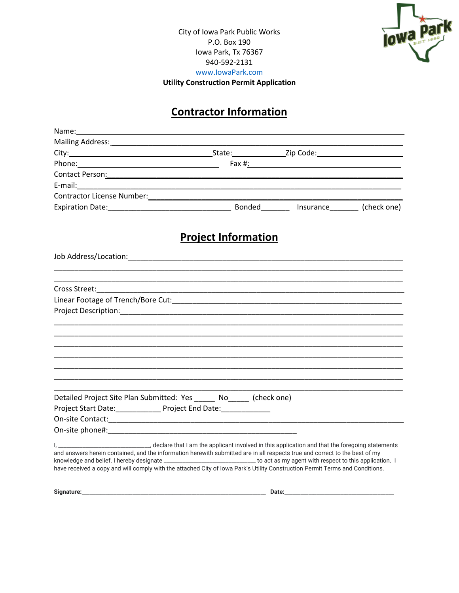



## **Contractor Information**

|                                                                                                                                                                                                                                                                                                                                                                                                 | <b>Project Information</b> |  |
|-------------------------------------------------------------------------------------------------------------------------------------------------------------------------------------------------------------------------------------------------------------------------------------------------------------------------------------------------------------------------------------------------|----------------------------|--|
|                                                                                                                                                                                                                                                                                                                                                                                                 |                            |  |
|                                                                                                                                                                                                                                                                                                                                                                                                 |                            |  |
|                                                                                                                                                                                                                                                                                                                                                                                                 |                            |  |
|                                                                                                                                                                                                                                                                                                                                                                                                 |                            |  |
|                                                                                                                                                                                                                                                                                                                                                                                                 |                            |  |
|                                                                                                                                                                                                                                                                                                                                                                                                 |                            |  |
|                                                                                                                                                                                                                                                                                                                                                                                                 |                            |  |
|                                                                                                                                                                                                                                                                                                                                                                                                 |                            |  |
|                                                                                                                                                                                                                                                                                                                                                                                                 |                            |  |
|                                                                                                                                                                                                                                                                                                                                                                                                 |                            |  |
|                                                                                                                                                                                                                                                                                                                                                                                                 |                            |  |
| Detailed Project Site Plan Submitted: Yes ______ No_____ (check one)                                                                                                                                                                                                                                                                                                                            |                            |  |
| Project Start Date:______________ Project End Date:______________                                                                                                                                                                                                                                                                                                                               |                            |  |
|                                                                                                                                                                                                                                                                                                                                                                                                 |                            |  |
|                                                                                                                                                                                                                                                                                                                                                                                                 |                            |  |
|                                                                                                                                                                                                                                                                                                                                                                                                 |                            |  |
| and answers herein contained, and the information herewith submitted are in all respects true and correct to the best of my<br>knowledge and belief. I hereby designate ________________________________ to act as my agent with respect to this application. I<br>have received a copy and will comply with the attached City of Iowa Park's Utility Construction Permit Terms and Conditions. |                            |  |